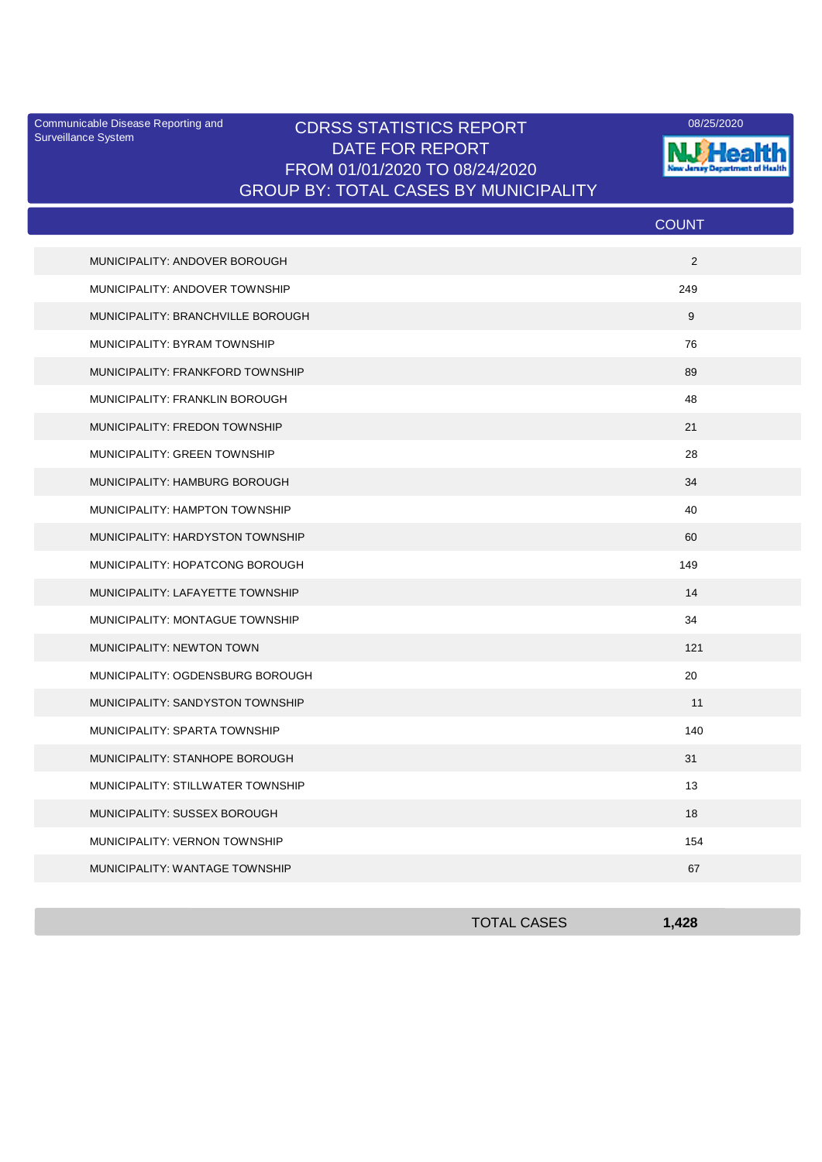Surveillance System

## Communicable Disease Reporting and CDRSS STATISTICS REPORT 2008/25/2020 DATE FOR REPORT FROM 01/01/2020 TO 08/24/2020 GROUP BY: TOTAL CASES BY MUNICIPALITY



|                                   | <b>COUNT</b> |
|-----------------------------------|--------------|
| MUNICIPALITY: ANDOVER BOROUGH     | 2            |
| MUNICIPALITY: ANDOVER TOWNSHIP    | 249          |
| MUNICIPALITY: BRANCHVILLE BOROUGH | 9            |
| MUNICIPALITY: BYRAM TOWNSHIP      | 76           |
| MUNICIPALITY: FRANKFORD TOWNSHIP  | 89           |
| MUNICIPALITY: FRANKLIN BOROUGH    | 48           |
| MUNICIPALITY: FREDON TOWNSHIP     | 21           |
| MUNICIPALITY: GREEN TOWNSHIP      | 28           |
| MUNICIPALITY: HAMBURG BOROUGH     | 34           |
| MUNICIPALITY: HAMPTON TOWNSHIP    | 40           |
| MUNICIPALITY: HARDYSTON TOWNSHIP  | 60           |
| MUNICIPALITY: HOPATCONG BOROUGH   | 149          |
| MUNICIPALITY: LAFAYETTE TOWNSHIP  | 14           |
| MUNICIPALITY: MONTAGUE TOWNSHIP   | 34           |
| MUNICIPALITY: NEWTON TOWN         | 121          |
| MUNICIPALITY: OGDENSBURG BOROUGH  | 20           |
| MUNICIPALITY: SANDYSTON TOWNSHIP  | 11           |
| MUNICIPALITY: SPARTA TOWNSHIP     | 140          |
| MUNICIPALITY: STANHOPE BOROUGH    | 31           |
| MUNICIPALITY: STILLWATER TOWNSHIP | 13           |
| MUNICIPALITY: SUSSEX BOROUGH      | 18           |
| MUNICIPALITY: VERNON TOWNSHIP     | 154          |
| MUNICIPALITY: WANTAGE TOWNSHIP    | 67           |

| <b>TOTAL CASES</b> | 1,428 |
|--------------------|-------|
|                    |       |